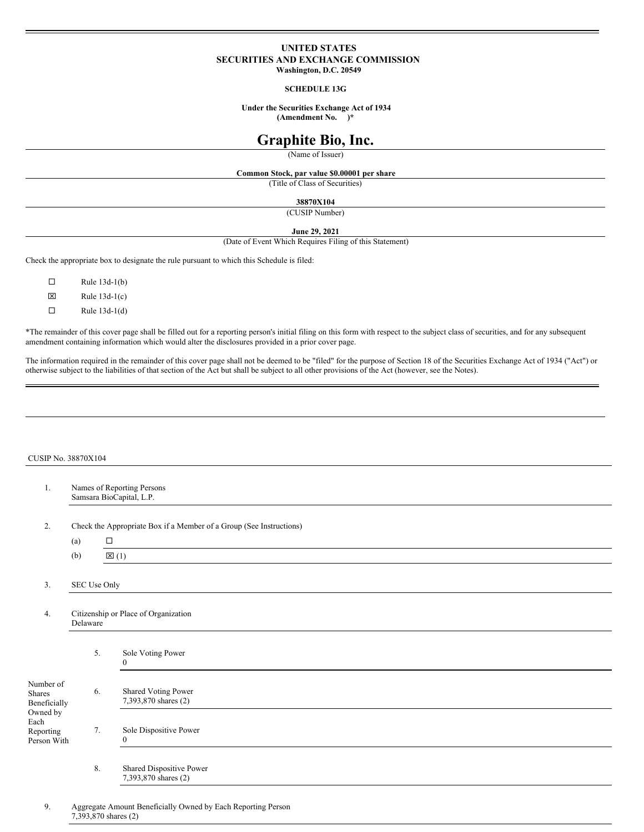# **UNITED STATES SECURITIES AND EXCHANGE COMMISSION Washington, D.C. 20549**

**SCHEDULE 13G**

**Under the Securities Exchange Act of 1934 (Amendment No. )\***

# **Graphite Bio, Inc.**

(Name of Issuer)

**Common Stock, par value \$0.00001 per share** (Title of Class of Securities)

**38870X104**

(CUSIP Number)

# **June 29, 2021**

(Date of Event Which Requires Filing of this Statement)

Check the appropriate box to designate the rule pursuant to which this Schedule is filed:

 $\Box$  Rule 13d-1(b)  $\boxtimes$  Rule 13d-1(c)

 $\Box$  Rule 13d-1(d)

\*The remainder of this cover page shall be filled out for a reporting person's initial filing on this form with respect to the subject class of securities, and for any subsequent amendment containing information which would alter the disclosures provided in a prior cover page.

The information required in the remainder of this cover page shall not be deemed to be "filed" for the purpose of Section 18 of the Securities Exchange Act of 1934 ("Act") or otherwise subject to the liabilities of that section of the Act but shall be subject to all other provisions of the Act (however, see the Notes).

## CUSIP No. 38870X104

| 1.                                                                                  | Names of Reporting Persons<br>Samsara BioCapital, L.P. |                 |                                                                     |  |  |  |  |  |  |
|-------------------------------------------------------------------------------------|--------------------------------------------------------|-----------------|---------------------------------------------------------------------|--|--|--|--|--|--|
| 2.                                                                                  |                                                        |                 | Check the Appropriate Box if a Member of a Group (See Instructions) |  |  |  |  |  |  |
|                                                                                     | (a)                                                    | $\Box$          |                                                                     |  |  |  |  |  |  |
|                                                                                     | (b)                                                    | $\boxtimes$ (1) |                                                                     |  |  |  |  |  |  |
| 3.                                                                                  | SEC Use Only                                           |                 |                                                                     |  |  |  |  |  |  |
| 4.                                                                                  | Citizenship or Place of Organization<br>Delaware       |                 |                                                                     |  |  |  |  |  |  |
|                                                                                     |                                                        | 5.              | Sole Voting Power<br>$\mathbf{0}$                                   |  |  |  |  |  |  |
| Number of<br>Shares<br>Beneficially<br>Owned by<br>Each<br>Reporting<br>Person With | 6.                                                     |                 | Shared Voting Power<br>7,393,870 shares (2)                         |  |  |  |  |  |  |
|                                                                                     |                                                        | 7.              | Sole Dispositive Power<br>$\mathbf{0}$                              |  |  |  |  |  |  |
|                                                                                     | 8.                                                     |                 | Shared Dispositive Power<br>7,393,870 shares (2)                    |  |  |  |  |  |  |
| 9.                                                                                  |                                                        |                 | Aggregate Amount Beneficially Owned by Each Reporting Person        |  |  |  |  |  |  |

7,393,870 shares (2)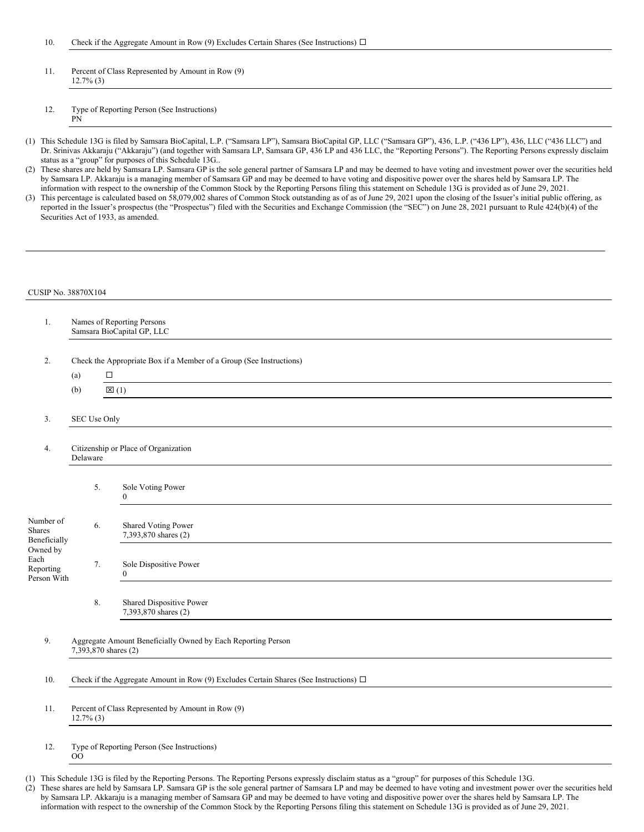- 11. Percent of Class Represented by Amount in Row (9) 12.7% (3)
- 12. Type of Reporting Person (See Instructions) PN
- (1) This Schedule 13G is filed by Samsara BioCapital, L.P. ("Samsara LP"), Samsara BioCapital GP, LLC ("Samsara GP"), 436, L.P. ("436 LP"), 436, LLC ("436 LLC") and Dr. Srinivas Akkaraju ("Akkaraju") (and together with Samsara LP, Samsara GP, 436 LP and 436 LLC, the "Reporting Persons"). The Reporting Persons expressly disclaim status as a "group" for purposes of this Schedule 13G..
- (2) These shares are held by Samsara LP. Samsara GP is the sole general partner of Samsara LP and may be deemed to have voting and investment power over the securities held by Samsara LP. Akkaraju is a managing member of Samsara GP and may be deemed to have voting and dispositive power over the shares held by Samsara LP. The information with respect to the ownership of the Common Stock by the Reporting Persons filing this statement on Schedule 13G is provided as of June 29, 2021.
- (3) This percentage is calculated based on 58,079,002 shares of Common Stock outstanding as of as of June 29, 2021 upon the closing of the Issuer's initial public offering, as reported in the Issuer's prospectus (the "Prospectus") filed with the Securities and Exchange Commission (the "SEC") on June 28, 2021 pursuant to Rule 424(b)(4) of the Securities Act of 1933, as amended.

### CUSIP No. 38870X104

| 1.                                                                                  | Names of Reporting Persons<br>Samsara BioCapital GP, LLC                             |                                                                                            |  |  |  |  |  |  |  |  |  |
|-------------------------------------------------------------------------------------|--------------------------------------------------------------------------------------|--------------------------------------------------------------------------------------------|--|--|--|--|--|--|--|--|--|
|                                                                                     |                                                                                      |                                                                                            |  |  |  |  |  |  |  |  |  |
| 2.                                                                                  |                                                                                      | Check the Appropriate Box if a Member of a Group (See Instructions)                        |  |  |  |  |  |  |  |  |  |
|                                                                                     | (a)                                                                                  | $\Box$                                                                                     |  |  |  |  |  |  |  |  |  |
|                                                                                     | (b)                                                                                  | $\mathbb{Z}(1)$                                                                            |  |  |  |  |  |  |  |  |  |
| 3.                                                                                  | SEC Use Only                                                                         |                                                                                            |  |  |  |  |  |  |  |  |  |
| 4.                                                                                  |                                                                                      | Citizenship or Place of Organization<br>Delaware                                           |  |  |  |  |  |  |  |  |  |
|                                                                                     | 5.                                                                                   | Sole Voting Power<br>$\mathbf{0}$                                                          |  |  |  |  |  |  |  |  |  |
| Number of<br>Shares<br>Beneficially<br>Owned by<br>Each<br>Reporting<br>Person With | 6.                                                                                   | <b>Shared Voting Power</b><br>7,393,870 shares (2)                                         |  |  |  |  |  |  |  |  |  |
|                                                                                     | 7.                                                                                   | Sole Dispositive Power<br>$\overline{0}$                                                   |  |  |  |  |  |  |  |  |  |
|                                                                                     | 8.                                                                                   | Shared Dispositive Power<br>7,393,870 shares (2)                                           |  |  |  |  |  |  |  |  |  |
| 9.                                                                                  | Aggregate Amount Beneficially Owned by Each Reporting Person<br>7,393,870 shares (2) |                                                                                            |  |  |  |  |  |  |  |  |  |
| 10.                                                                                 |                                                                                      | Check if the Aggregate Amount in Row (9) Excludes Certain Shares (See Instructions) $\Box$ |  |  |  |  |  |  |  |  |  |
| 11.                                                                                 |                                                                                      | Percent of Class Represented by Amount in Row (9)                                          |  |  |  |  |  |  |  |  |  |

12. Type of Reporting Person (See Instructions) OO

12.7% (3)

- (1) This Schedule 13G is filed by the Reporting Persons. The Reporting Persons expressly disclaim status as a "group" for purposes of this Schedule 13G.
- (2) These shares are held by Samsara LP. Samsara GP is the sole general partner of Samsara LP and may be deemed to have voting and investment power over the securities held by Samsara LP. Akkaraju is a managing member of Samsara GP and may be deemed to have voting and dispositive power over the shares held by Samsara LP. The information with respect to the ownership of the Common Stock by the Reporting Persons filing this statement on Schedule 13G is provided as of June 29, 2021.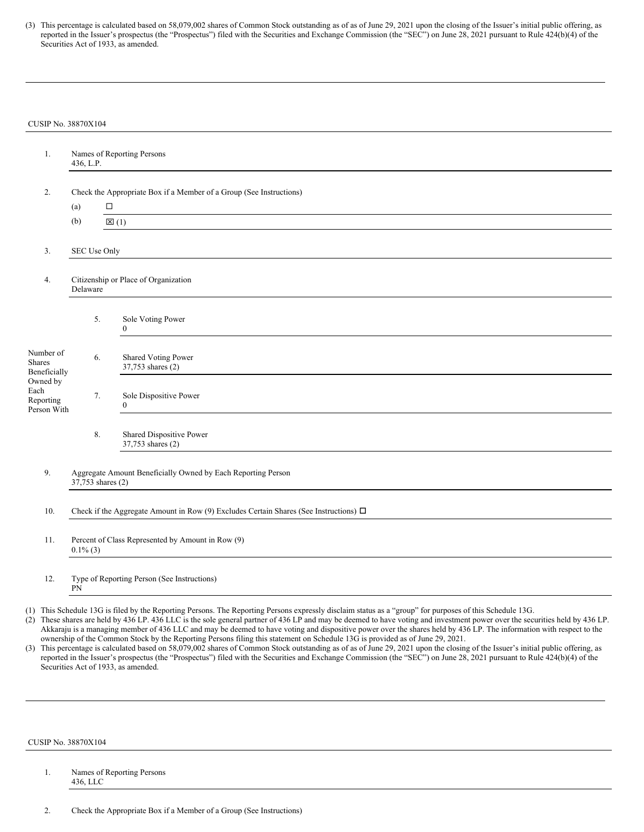(3) This percentage is calculated based on 58,079,002 shares of Common Stock outstanding as of as of June 29, 2021 upon the closing of the Issuer's initial public offering, as reported in the Issuer's prospectus (the "Prospectus") filed with the Securities and Exchange Commission (the "SEC") on June 28, 2021 pursuant to Rule 424(b)(4) of the Securities Act of 1933, as amended.

#### CUSIP No. 38870X104

| 1.                                           | Names of Reporting Persons<br>436, L.P.                                                    |                                                 |  |  |  |  |  |
|----------------------------------------------|--------------------------------------------------------------------------------------------|-------------------------------------------------|--|--|--|--|--|
| 2.                                           | Check the Appropriate Box if a Member of a Group (See Instructions)                        |                                                 |  |  |  |  |  |
|                                              | (a)                                                                                        | $\Box$                                          |  |  |  |  |  |
|                                              | (b)                                                                                        | $\boxtimes$ (1)                                 |  |  |  |  |  |
| 3.                                           | SEC Use Only                                                                               |                                                 |  |  |  |  |  |
| 4.                                           | Citizenship or Place of Organization<br>Delaware                                           |                                                 |  |  |  |  |  |
|                                              | 5.                                                                                         | Sole Voting Power<br>$\mathbf{0}$               |  |  |  |  |  |
| Number of<br><b>Shares</b><br>Beneficially   | 6.                                                                                         | <b>Shared Voting Power</b><br>37,753 shares (2) |  |  |  |  |  |
| Owned by<br>Each<br>Reporting<br>Person With | 7.                                                                                         | Sole Dispositive Power<br>$\theta$              |  |  |  |  |  |
|                                              | 8.                                                                                         | Shared Dispositive Power<br>37,753 shares (2)   |  |  |  |  |  |
| 9.                                           | Aggregate Amount Beneficially Owned by Each Reporting Person<br>37,753 shares (2)          |                                                 |  |  |  |  |  |
| 10.                                          | Check if the Aggregate Amount in Row (9) Excludes Certain Shares (See Instructions) $\Box$ |                                                 |  |  |  |  |  |
| 11.                                          | Percent of Class Represented by Amount in Row (9)<br>$0.1\%$ (3)                           |                                                 |  |  |  |  |  |
| 12.                                          | Type of Reporting Person (See Instructions)<br>PN                                          |                                                 |  |  |  |  |  |

(1) This Schedule 13G is filed by the Reporting Persons. The Reporting Persons expressly disclaim status as a "group" for purposes of this Schedule 13G.

(2) These shares are held by 436 LP. 436 LLC is the sole general partner of 436 LP and may be deemed to have voting and investment power over the securities held by 436 LP. Akkaraju is a managing member of 436 LLC and may be deemed to have voting and dispositive power over the shares held by 436 LP. The information with respect to the ownership of the Common Stock by the Reporting Persons filing this statement on Schedule 13G is provided as of June 29, 2021.

(3) This percentage is calculated based on 58,079,002 shares of Common Stock outstanding as of as of June 29, 2021 upon the closing of the Issuer's initial public offering, as reported in the Issuer's prospectus (the "Prospectus") filed with the Securities and Exchange Commission (the "SEC") on June 28, 2021 pursuant to Rule 424(b)(4) of the Securities Act of 1933, as amended.

#### CUSIP No. 38870X104

## 1. Names of Reporting Persons 436, LLC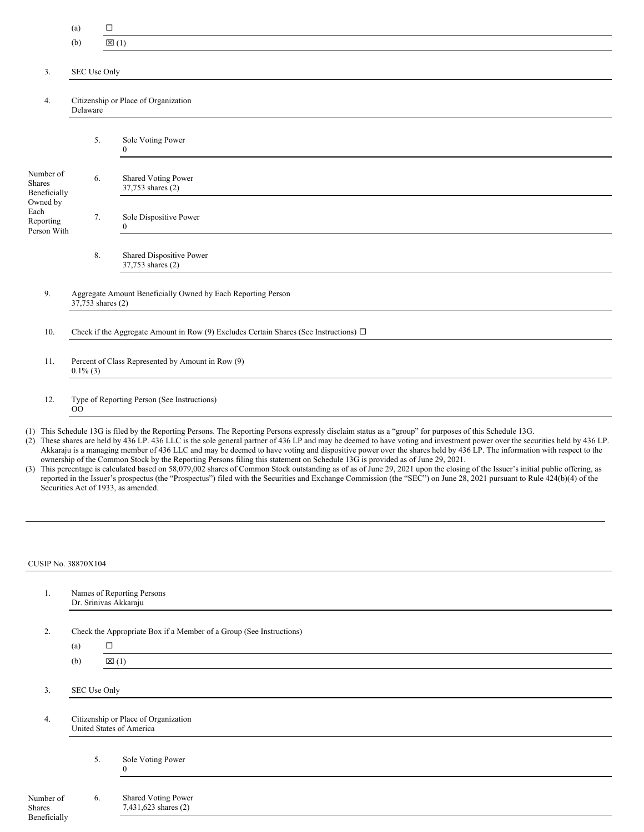- (a)  $\Box$
- (b)  $\boxtimes$  (1)

# 3. SEC Use Only

4. Citizenship or Place of Organization Delaware

|                                                                                            | 5. | Sole Voting Power<br>$\theta$                 |
|--------------------------------------------------------------------------------------------|----|-----------------------------------------------|
| Number of<br><b>Shares</b><br>Beneficially<br>Owned by<br>Each<br>Reporting<br>Person With | 6. | Shared Voting Power<br>37,753 shares (2)      |
|                                                                                            | 7. | Sole Dispositive Power<br>$\Omega$            |
|                                                                                            | 8. | Shared Dispositive Power<br>37,753 shares (2) |

9. Aggregate Amount Beneficially Owned by Each Reporting Person 37,753 shares (2)

10. Check if the Aggregate Amount in Row (9) Excludes Certain Shares (See Instructions)  $\Box$ 

11. Percent of Class Represented by Amount in Row (9) 0.1% (3)

12. Type of Reporting Person (See Instructions) OO

- (1) This Schedule 13G is filed by the Reporting Persons. The Reporting Persons expressly disclaim status as a "group" for purposes of this Schedule 13G.
- (2) These shares are held by 436 LP. 436 LLC is the sole general partner of 436 LP and may be deemed to have voting and investment power over the securities held by 436 LP. Akkaraju is a managing member of 436 LLC and may be deemed to have voting and dispositive power over the shares held by 436 LP. The information with respect to the ownership of the Common Stock by the Reporting Persons filing this statement on Schedule 13G is provided as of June 29, 2021.
- (3) This percentage is calculated based on 58,079,002 shares of Common Stock outstanding as of as of June 29, 2021 upon the closing of the Issuer's initial public offering, as reported in the Issuer's prospectus (the "Prospectus") filed with the Securities and Exchange Commission (the "SEC") on June 28, 2021 pursuant to Rule 424(b)(4) of the Securities Act of 1933, as amended.

#### CUSIP No. 38870X104

| 1.                                         |                                                                  | Names of Reporting Persons<br>Dr. Srinivas Akkaraju                 |  |  |  |
|--------------------------------------------|------------------------------------------------------------------|---------------------------------------------------------------------|--|--|--|
| 2.                                         |                                                                  | Check the Appropriate Box if a Member of a Group (See Instructions) |  |  |  |
|                                            | (a)                                                              | $\Box$                                                              |  |  |  |
|                                            | (b)                                                              | $\boxtimes$ (1)                                                     |  |  |  |
|                                            |                                                                  |                                                                     |  |  |  |
| 3.                                         | SEC Use Only                                                     |                                                                     |  |  |  |
| 4.                                         | Citizenship or Place of Organization<br>United States of America |                                                                     |  |  |  |
|                                            | 5.                                                               | Sole Voting Power<br>$\Omega$                                       |  |  |  |
| Number of<br><b>Shares</b><br>Beneficially |                                                                  | <b>Shared Voting Power</b><br>6.<br>7,431,623 shares (2)            |  |  |  |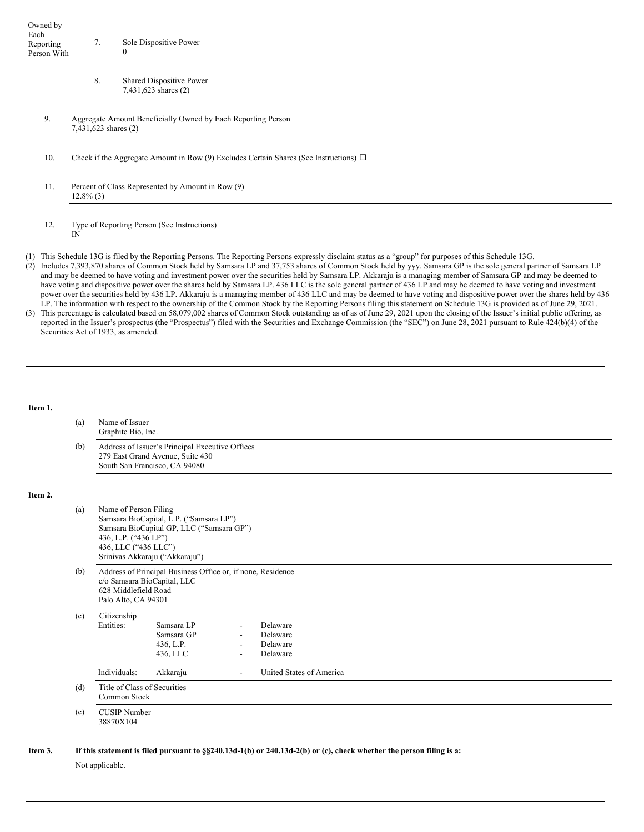| Owned by    |    |                        |
|-------------|----|------------------------|
| Each        |    |                        |
| Reporting   | 7. | Sole Dispositive Power |
| Person With |    | $_{0}$                 |

| 8. | <b>Shared Dispositive Power</b> |
|----|---------------------------------|
|    | 7,431,623 shares (2)            |

- 9. Aggregate Amount Beneficially Owned by Each Reporting Person 7,431,623 shares (2)
- 10. Check if the Aggregate Amount in Row (9) Excludes Certain Shares (See Instructions)  $\Box$
- 11. Percent of Class Represented by Amount in Row (9) 12.8% (3)
- 12. Type of Reporting Person (See Instructions) IN

(1) This Schedule 13G is filed by the Reporting Persons. The Reporting Persons expressly disclaim status as a "group" for purposes of this Schedule 13G.

- (2) Includes 7,393,870 shares of Common Stock held by Samsara LP and 37,753 shares of Common Stock held by yyy. Samsara GP is the sole general partner of Samsara LP and may be deemed to have voting and investment power over the securities held by Samsara LP. Akkaraju is a managing member of Samsara GP and may be deemed to have voting and dispositive power over the shares held by Samsara LP. 436 LLC is the sole general partner of 436 LP and may be deemed to have voting and investment power over the securities held by 436 LP. Akkaraju is a managing member of 436 LLC and may be deemed to have voting and dispositive power over the shares held by 436 LP. The information with respect to the ownership of the Common Stock by the Reporting Persons filing this statement on Schedule 13G is provided as of June 29, 2021.
- (3) This percentage is calculated based on 58,079,002 shares of Common Stock outstanding as of as of June 29, 2021 upon the closing of the Issuer's initial public offering, as reported in the Issuer's prospectus (the "Prospectus") filed with the Securities and Exchange Commission (the "SEC") on June 28, 2021 pursuant to Rule 424(b)(4) of the Securities Act of 1933, as amended.

## **Item 1.**

**Item 2.**

| (a) | Name of Issuer<br>Graphite Bio, Inc.                                                                                                      |                                                                                                                        |                          |                                              |  |  |  |  |  |  |  |
|-----|-------------------------------------------------------------------------------------------------------------------------------------------|------------------------------------------------------------------------------------------------------------------------|--------------------------|----------------------------------------------|--|--|--|--|--|--|--|
| (b) | Address of Issuer's Principal Executive Offices<br>279 East Grand Avenue, Suite 430<br>South San Francisco, CA 94080                      |                                                                                                                        |                          |                                              |  |  |  |  |  |  |  |
|     |                                                                                                                                           |                                                                                                                        |                          |                                              |  |  |  |  |  |  |  |
| (a) | Name of Person Filing<br>436, L.P. ("436 LP")<br>436, LLC ("436 LLC")                                                                     | Samsara BioCapital, L.P. ("Samsara LP")<br>Samsara BioCapital GP, LLC ("Samsara GP")<br>Srinivas Akkaraju ("Akkaraju") |                          |                                              |  |  |  |  |  |  |  |
| (b) | Address of Principal Business Office or, if none, Residence<br>c/o Samsara BioCapital, LLC<br>628 Middlefield Road<br>Palo Alto, CA 94301 |                                                                                                                        |                          |                                              |  |  |  |  |  |  |  |
| (c) | Citizenship<br>Entities:                                                                                                                  | Samsara LP<br>Samsara GP<br>436, L.P.<br>436, LLC                                                                      | $\overline{\phantom{a}}$ | Delaware<br>Delaware<br>Delaware<br>Delaware |  |  |  |  |  |  |  |
|     | Individuals:                                                                                                                              | Akkaraju                                                                                                               |                          | United States of America                     |  |  |  |  |  |  |  |
| (d) | Title of Class of Securities<br>Common Stock                                                                                              |                                                                                                                        |                          |                                              |  |  |  |  |  |  |  |
| (e) | <b>CUSIP</b> Number<br>38870X104                                                                                                          |                                                                                                                        |                          |                                              |  |  |  |  |  |  |  |

Item 3. If this statement is filed pursuant to §§240.13d-1(b) or 240.13d-2(b) or (c), check whether the person filing is a:

Not applicable.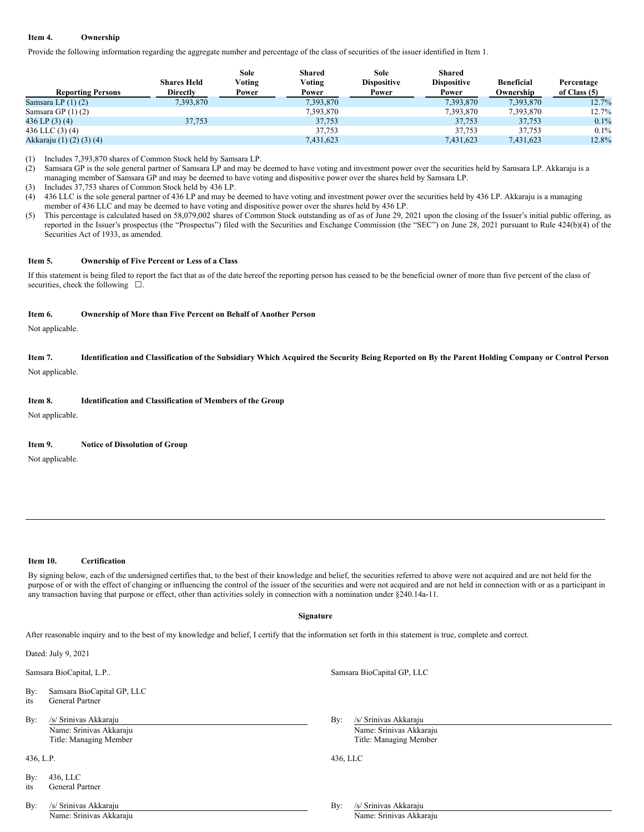## **Item 4. Ownership**

Provide the following information regarding the aggregate number and percentage of the class of securities of the issuer identified in Item 1.

|                          | <b>Shares Held</b> | Sole<br>Voting | <b>Shared</b><br>Voting | Sole<br><b>Dispositive</b> | Shared<br><b>Dispositive</b> | <b>Beneficial</b> | Percentage     |
|--------------------------|--------------------|----------------|-------------------------|----------------------------|------------------------------|-------------------|----------------|
| <b>Reporting Persons</b> | <b>Directly</b>    | Power          | Power                   | Power                      | Power                        | Ownership         | of Class $(5)$ |
| Samsara LP $(1)(2)$      | 7.393.870          |                | 7,393,870               |                            | 7,393,870                    | 7.393.870         | 12.7%          |
| Samsara GP $(1)(2)$      |                    |                | 7,393,870               |                            | 7.393.870                    | 7.393.870         | 12.7%          |
| 436 LP $(3)$ $(4)$       | 37.753             |                | 37.753                  |                            | 37,753                       | 37.753            | 0.1%           |
| 436 LLC $(3)$ $(4)$      |                    |                | 37.753                  |                            | 37.753                       | 37.753            | $0.1\%$        |
| Akkaraju (1) (2) (3) (4) |                    |                | 7,431,623               |                            | 7,431,623                    | 7,431,623         | 12.8%          |

(1) Includes 7,393,870 shares of Common Stock held by Samsara LP.

(2) Samsara GP is the sole general partner of Samsara LP and may be deemed to have voting and investment power over the securities held by Samsara LP. Akkaraju is a managing member of Samsara GP and may be deemed to have voting and dispositive power over the shares held by Samsara LP.

(3) Includes 37,753 shares of Common Stock held by 436 LP.

(4) 436 LLC is the sole general partner of 436 LP and may be deemed to have voting and investment power over the securities held by 436 LP. Akkaraju is a managing member of 436 LLC and may be deemed to have voting and dispositive power over the shares held by 436 LP.

(5) This percentage is calculated based on 58,079,002 shares of Common Stock outstanding as of as of June 29, 2021 upon the closing of the Issuer's initial public offering, as reported in the Issuer's prospectus (the "Prospectus") filed with the Securities and Exchange Commission (the "SEC") on June 28, 2021 pursuant to Rule 424(b)(4) of the Securities Act of 1933, as amended.

## **Item 5. Ownership of Five Percent or Less of a Class**

If this statement is being filed to report the fact that as of the date hereof the reporting person has ceased to be the beneficial owner of more than five percent of the class of securities, check the following  $□$ .

#### **Item 6. Ownership of More than Five Percent on Behalf of Another Person**

Not applicable.

## Item 7. Identification and Classification of the Subsidiary Which Acquired the Security Being Reported on By the Parent Holding Company or Control Person

Not applicable.

#### **Item 8. Identification and Classification of Members of the Group**

Not applicable.

### **Item 9. Notice of Dissolution of Group**

Not applicable.

## **Item 10. Certification**

By signing below, each of the undersigned certifies that, to the best of their knowledge and belief, the securities referred to above were not acquired and are not held for the purpose of or with the effect of changing or influencing the control of the issuer of the securities and were not acquired and are not held in connection with or as a participant in any transaction having that purpose or effect, other than activities solely in connection with a nomination under §240.14a-11.

#### **Signature**

After reasonable inquiry and to the best of my knowledge and belief, I certify that the information set forth in this statement is true, complete and correct.

Dated: July 9, 2021

Samsara BioCapital, L.P.. Samsara BioCapital GP, LLC

By: Samsara BioCapital GP, LLC

- its General Partner
- By: /s/ Srinivas Akkaraju **By: /s/ Srinivas Akkaraju** By: /s/ Srinivas Akkaraju Name: Srinivas Akkaraju Name: Srinivas Akkaraju

By: 436, LLC

its General Partner

Title: Managing Member Title: Managing Member Title: Managing Member

436, L.P. 436, LLC

By: /s/ Srinivas Akkaraju **By: /s/ Srinivas Akkaraju** By: /s/ Srinivas Akkaraju

Name: Srinivas Akkaraju Name: Srinivas Akkaraju